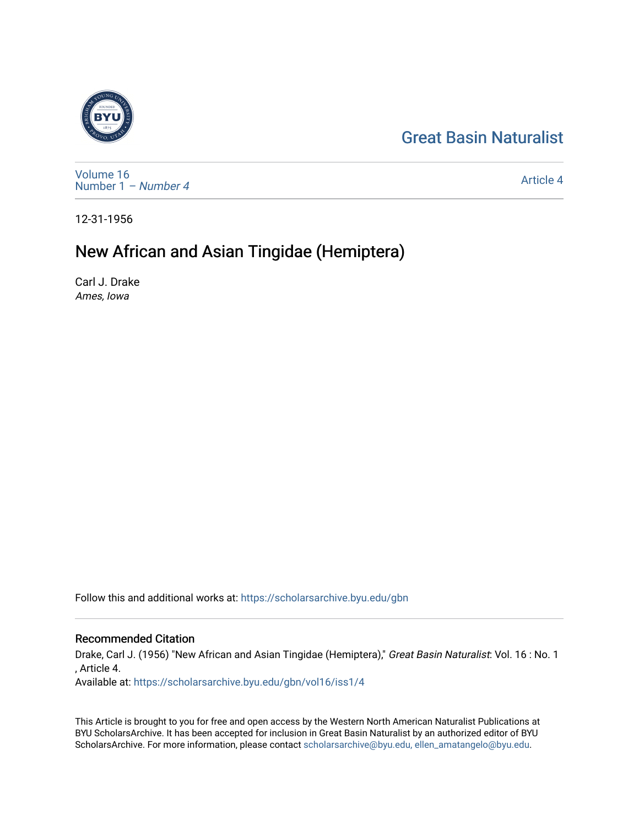# [Great Basin Naturalist](https://scholarsarchive.byu.edu/gbn)



[Volume 16](https://scholarsarchive.byu.edu/gbn/vol16) [Number 1](https://scholarsarchive.byu.edu/gbn/vol16/iss1) – Number 4

[Article 4](https://scholarsarchive.byu.edu/gbn/vol16/iss1/4) 

12-31-1956

# New African and Asian Tingidae (Hemiptera)

Carl J. Drake Ames, Iowa

Follow this and additional works at: [https://scholarsarchive.byu.edu/gbn](https://scholarsarchive.byu.edu/gbn?utm_source=scholarsarchive.byu.edu%2Fgbn%2Fvol16%2Fiss1%2F4&utm_medium=PDF&utm_campaign=PDFCoverPages) 

## Recommended Citation

Drake, Carl J. (1956) "New African and Asian Tingidae (Hemiptera)," Great Basin Naturalist: Vol. 16 : No. 1 , Article 4.

Available at: [https://scholarsarchive.byu.edu/gbn/vol16/iss1/4](https://scholarsarchive.byu.edu/gbn/vol16/iss1/4?utm_source=scholarsarchive.byu.edu%2Fgbn%2Fvol16%2Fiss1%2F4&utm_medium=PDF&utm_campaign=PDFCoverPages)

This Article is brought to you for free and open access by the Western North American Naturalist Publications at BYU ScholarsArchive. It has been accepted for inclusion in Great Basin Naturalist by an authorized editor of BYU ScholarsArchive. For more information, please contact [scholarsarchive@byu.edu, ellen\\_amatangelo@byu.edu.](mailto:scholarsarchive@byu.edu,%20ellen_amatangelo@byu.edu)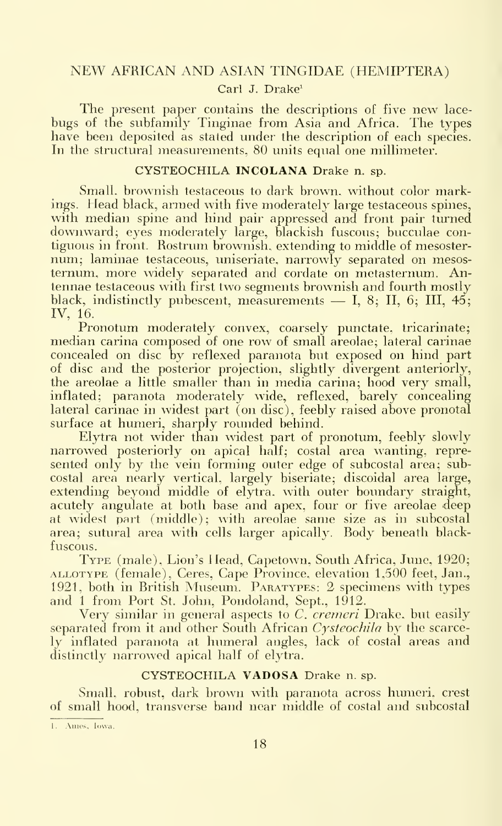### NEW AFRICAN AND ASIAN TINGIDAE (HEMIPTERA) Carl J. Drake<sup>1</sup>

The present paper contains the descriptions of five new lace bugs of the subfamily Tinginae from Asia and Africa. The types have been deposited as stated under the description of each species. In the structural measurements, 80 units equal one millimeter.

### CYSTEOCHILA INCOLANA Drake n. sp.

Small, brownish testaceous to dark brown, without color markings. Head black, armed with five moderately large testaceous spines, with median spine and hind pair appressed and front pair turned downward; eyes moderately large, blackish fuscous; bucculae con tiguous in front. Rostrum brownish, extending to middle of mesoster num; laminae testaceous, uniseriate, narrowly separated on mesos ternum, more widely separated and cordate on metasternum. Antennae testaceous with first two segments brownish and fourth mostly black, indistinctly pubescent, measurements  $-$  I, 8; II, 6; III, 45; IV, 16.

Pronotum moderately convex, coarsely punctate, tricarinate; median carina composed of one row of small areolae; lateral carinae concealed on disc by reflexed paranota but exposed on hind part of disc and the posterior projection, slightly divergent anteriorly, the areolae a little smaller than in media carina; hood very small, inflated; paranota moderately wide, reflexed, barely concealing lateral carinae in widest part (on disc), feebly raised above pronotal surface at humeri, sharply rounded behind.

Elytra not wider than widest part of pronotum, feebly slowly narrowed posteriorly on apical half; costal area wanting, repre sented only by the vein forming outer edge of subcostal area; subcostal area nearly vertical, largely biseriate; discoidal area large, extending beyond middle of elytra, with outer boundary straight, acutely angulate at both base and apex, four or five areolae deep at widest part (middle); with areolae same size as in subcostal area; sutural area with cells larger apically. Body beneath blackfuscous.

Type (male), Lion's Head, Capetown, South Africa, June, 1920; ALLOTYPE (female), Ceres, Cape Province, elevation 1,500 feet, Jan., 1921, both in British Museum. Paratypes: 2 specimens with types and <sup>1</sup> from Port St. John, Pondoland, Sept., 1912.

Very similar in general aspects to C, cremeri Drake, but easily separated from it and other South African Cysteochila by the scarcely inflated paranota at humeral angles, lack of costal areas and distinctly narrowed apical half of elytra.

#### CYSTEOCHILA VADOSA Drake n. sp.

Small, robust, dark brown with paranota across humeri, crest of small hood, transverse band near middle of costal and subcostal

<sup>I</sup> . Ames, Iowa.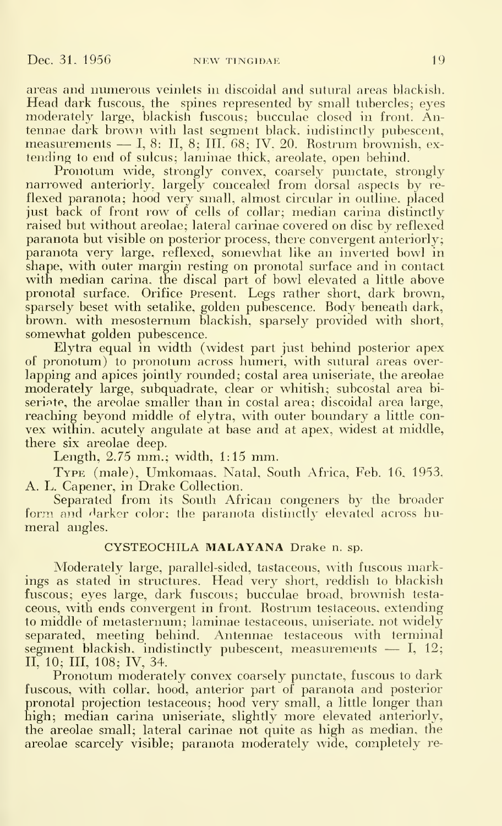areas and numerous veinlets in discoidal and sutural areas blackish. Head dark fuscous, the spines represented by small tubercles; eyes moderately large, blackish fuscous; bucculae closed in front. Antennae dark brown with last segment black, indistinctly pubescent, measurements — I, 8: II, 8; III, 68; IV, 20. Rostrum brownish, ex tending to end of sulcus; laminae thick, areolate, open behind.

Pronotum wide, strongly convex, coarsely punctate, strongly narrowed anteriorly, largely concealed from dorsal aspects by re flexed paranota; hood very small, almost circular in outline, placed just back of front row of cells of collar; median carina distinctly raised but without areolae; lateral carinae covered on disc by reflexed paranota but visible on posterior process, there convergent anteriorly; paranota very large, reflexed, somewhat like an inverted bowl in shape, with outer margin resting on pronotal surface and in contact with median carina, the discal part of bowl elevated a little above pronotal surface. Orifice Present. Legs rather short, dark brown, sparsely beset with setalike, golden pubescence. Body beneath dark, brown, with mesosternum blackish, sparsely provided with short, somewhat golden pubescence.

Elytra equal in width (widest part just behind posterior apex of pronotum) to pronotum across humeri, with sutural areas over lapping and apices jointly rounded; costal area uniseriate, the areolae moderately large, subquadrate, clear or whitish; subcostal area bi seriate, the areolae smaller than in costal area; discoidal area large, reaching beyond middle of elytra, with outer boundary a little con vex within, acutely angulate at base and at apex, widest at middle, there six areolae deep.

Length, 2.75 mm.; width, 1:15 mm.

Type (male), Umkomaas, Natal, South Africa, Feb. 16, 1953, A. L. Capener, in Drake Collection.

Separated from its South African congeners by the broader form and darker color; the paranota distinctly elevated across humeral angles.

#### CYSTEOCHILA MALAYANA Drake n. sp.

Moderately large, parallel-sided, tastaceous, with fuscous markings as stated in structures. Head very short, reddish to blackish fuscous; eyes large, dark fuscous; bucculae broad, brownish testa ceous, with ends convergent in front. Rostrum testaceous, extending to middle of metasternum; laminae testaceous, uniseriate, not widely separated, meeting behind. Antennae testaceous with terminal separated, meeting behind. Antennae testaceous with terminal<br>segment blackish, indistinctly pubescent, measurements — I, 12; II, 10; III, 108; IV, 34.

Pronotum moderately convex coarsely punctate, fuscous to dark fuscous, with collar, hood, anterior part of paranota and posterior pronotal projection testaceous; hood very small, a little longer than high; median carina uniseriate, slightly more elevated anteriorly, the areolae small; lateral carinae not quite as high as median, the areolae scarcely visible; paranota moderately wide, completely re-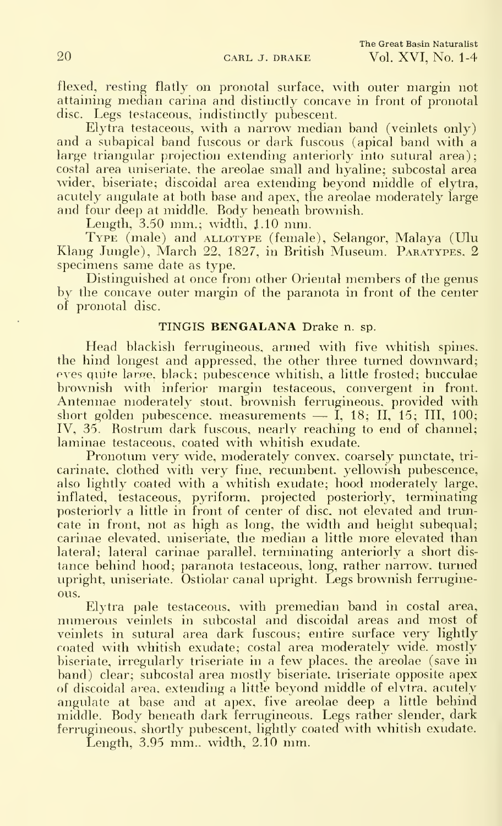flexed, resting flatly on pronotal surface, with outer margin not attaining median carina and distinctly concave in front of pronotal disc. Legs testaceous, indistinctly pubescent.

Elytra testaceous, with a narrow median band (veinlets only) and a subapical band fuscous or dark fuscous (apical band with a large triangular projection extending anteriorly into sutural area); costal area uniseriate, the areolae small and hyaline; subcostal area wider, biseriate; discoidal area extending beyond middle of elytra, acutely angulate at both base and apex, the areolae moderately large and four deep at middle. Body beneath brownish.

Length, 3.50 mm.; width, J.10 mm.

TYPE (male) and ALLOTYPE (female), Selangor, Malaya (Ulu Klang Jungle), March 22, 1827, in British Museum. PARATYPES, 2 specimens same date as type.

Distinguished at once from other Oriental members of the genus by the concave outer margin of the paranota in front of the center of pronotal disc.

#### TINGIS BENGALANA Drake n. sp.

Head blackish ferrugineous, armed with five whitish spines, the hind longest and appressed, the other three turned downward; eves quite large, black; pubescence whitish, a little frosted; bucculae brownish with inferior margin testaceous, convergent in front. Antennae moderately stout, brownish ferrugineous, provided with short golden pubescence, measurements  $\frac{1}{\sqrt{1}}$ , 18; II, 15; III, 100; IV, 35. Rostrum dark fuscous, nearly reaching to end of channel; laminae testaceous, coated with whitish exudate.

Pronotum very wide, moderately convex, coarsely punctate, tri carinate, clothed with very fine, recumbent, yellowish pubescence, also lightly coated with a whitish exudate; hood moderately large, inflated, testaceous, pyriform, projected posteriorly, terminating posteriorlv a little in front of center of disc, not elevated and truncate in front, not as high as long, the width and height subequal; carinae elevated, uniseriate, the median a little more elevated than lateral; lateral carinae parallel, terminating anteriorly a short dis tance behind hood; paranota testaceous, long, rather narrow, turned upright, uniseriate. Ostiolar canal upright. Legs brownish ferrugineous.

Elytra pale testaceous, with premedian band in costal area, numerous veinlets in subcostal and discoidal areas and most of veinlets in sutural area dark fuscous; entire surface very lightly coated with whitish exudate; costal area moderately wide, mostly biseriate, irregularly triseriate in a few places, the areolae (save in band) clear; subcostal area mostly biseriate. triseriate opposite apex of discoidal area, extending a little beyond middle of elvtra, acutely angulate at base and at apex, five areolae deep a little behind middle. Body beneath dark ferrugineous. Legs rather slender, dark ferrugineous, shortly pubescent, lightly coated with whitish exudate.

Length, 3.95 mm., width, 2.10 mm.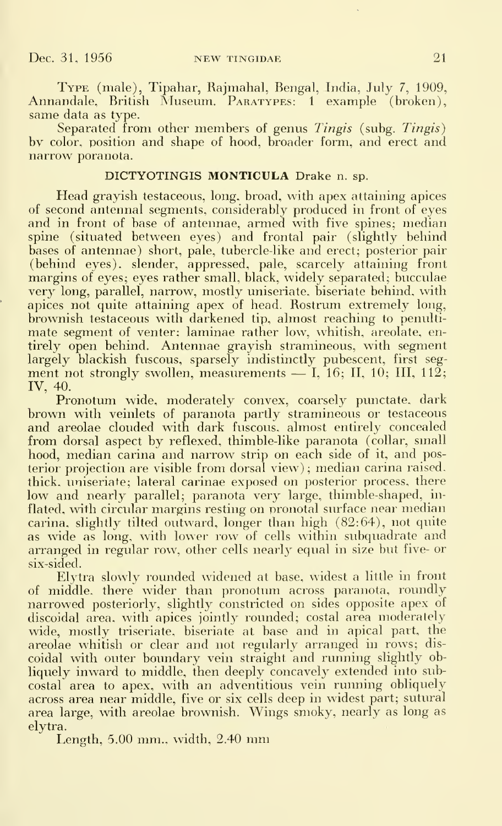Type (male), Tipahar, Rajmahal, Bengal, India, July 7, 1909, Annandale, British Museum. Paratypes: <sup>1</sup> example (broken), same data as type.

Separated from other members of genus Tingis (subg. Tingis) bv color, position and shape of hood, broader form, and erect and narrow poranota.

#### DICTYOTINGIS MONTICULA Drake n. sp.

Head grayish testaceous, long, broad, with apex attaining apices of second antennal segments, considerably produced in front of eyes and in front of base of antennae, armed with five spines; median spine (situated between eyes) and frontal pair (slightly behind bases of antennae) short, pale, tubercle-like and erect; posterior pair (behind eyes), slender, appressed, pale, scarcely attaining front margins of eyes; eyes rather small, black, widely separated; bucculae very long, parallel, narrow, mostly uniseriate. biseriate behind, with apices not quite attaining apex of head. Rostrum extremely long, brownish testaceous with darkened tip, almost reaching to penultimate segment of venter; laminae rather low, whitish, areolate, entirely open behind. Antennae grayish stramineous, with segment largely blackish fuscous, sparsely indistinctly pubescent, first seg ment not strongly swollen, measurements — I, 16; II, 10; III, 112; IV, 40.

Pronotum wide, moderately convex, coarsely punctate, dark brown with veinlets of paranota partly stramineous or testaceous and areolae clouded with dark fuscous, almost entirely concealed from dorsal aspect by reflexed, thimble-like paranota (collar, small hood, median carina and narrow strip on each side of it, and posterior projection are visible from dorsal view) ; median carina raised, thick, uniseriate; lateral carinae exposed on posterior process, there low and nearly parallel; paranota very large, thimble-shaped, inflated, with circular margins resting on pronotal surface near median carina, slightly tilted outward, longer than high (82:64), not quite as wide as long, with lower row of cells within subquadrate and arranged in regular row, other cells nearly equal in size but five- or six-sided.

Elytra slowly rounded widened at base, widest a little in front of middle, there wider than pronotum across paranota, roundly narrowed posteriorly, slightly constricted on sides opposite apex of discoidal area, with apices jointly rounded; costal area moderately wide, mostly triseriate, biseriate at base and in apical part, the areolae whitish or clear and not regularly arranged in rows; dis coidal with outer boundary vein straight and running slightly obliquely inward to middle, then deeply concavely extended into subcostal area to apex, with an adventitious vein running obliquely across area near middle, five or six cells deep in widest part; sutural area large, with areolae brownish. Wings smoky, nearly as long as elytra.

Length, 5.00 mm., width, 2.40 mm